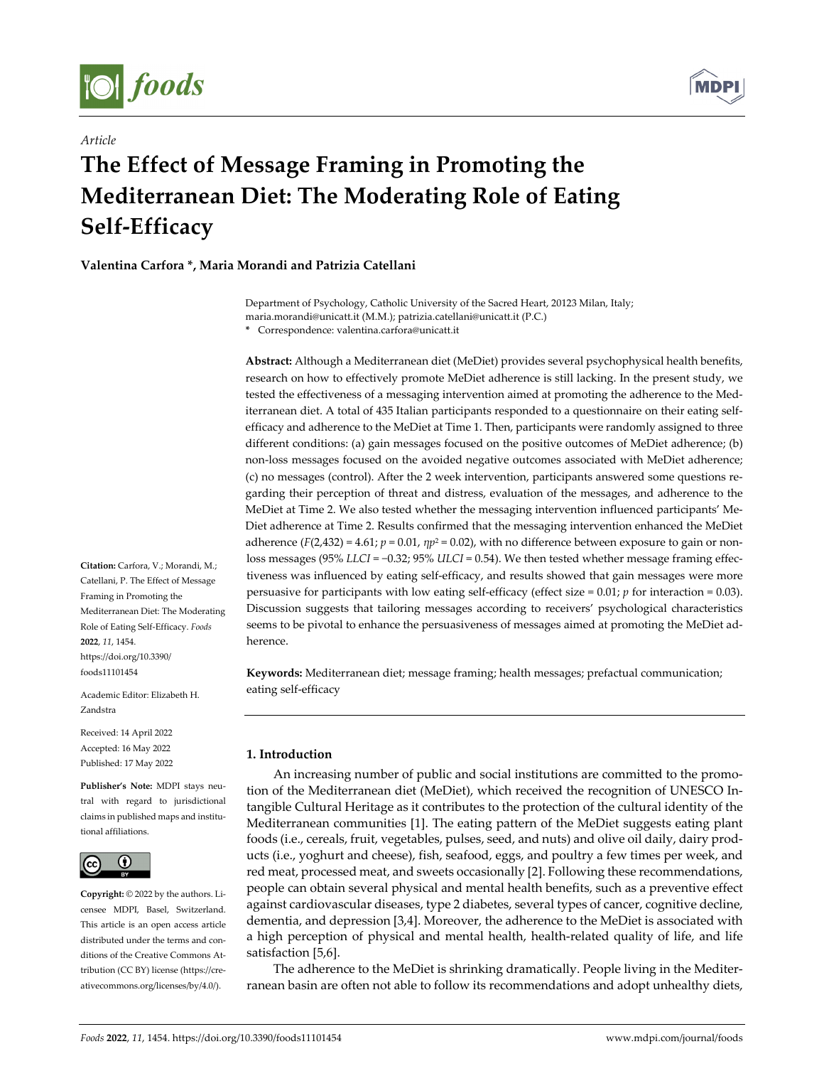

*Article*



# **The Effect of Message Framing in Promoting the Mediterranean Diet: The Moderating Role of Eating Self‐Efficacy**

**Valentina Carfora \*, Maria Morandi and Patrizia Catellani**

Department of Psychology, Catholic University of the Sacred Heart, 20123 Milan, Italy; maria.morandi@unicatt.it (M.M.); patrizia.catellani@unicatt.it (P.C.)

**\*** Correspondence: valentina.carfora@unicatt.it

**Abstract:** Although a Mediterranean diet (MeDiet) provides several psychophysical health benefits, research on how to effectively promote MeDiet adherence is still lacking. In the present study, we tested the effectiveness of a messaging intervention aimed at promoting the adherence to the Mediterranean diet. A total of 435 Italian participants responded to a questionnaire on their eating self‐ efficacy and adherence to the MeDiet at Time 1. Then, participants were randomly assigned to three different conditions: (a) gain messages focused on the positive outcomes of MeDiet adherence; (b) non‐loss messages focused on the avoided negative outcomes associated with MeDiet adherence; (c) no messages (control). After the 2 week intervention, participants answered some questions re‐ garding their perception of threat and distress, evaluation of the messages, and adherence to the MeDiet at Time 2. We also tested whether the messaging intervention influenced participants' Me‐ Diet adherence at Time 2. Results confirmed that the messaging intervention enhanced the MeDiet adherence ( $F(2,432) = 4.61$ ;  $p = 0.01$ ,  $np^2 = 0.02$ ), with no difference between exposure to gain or nonloss messages (95% *LLCI* = −0.32; 95% *ULCI* = 0.54). We then tested whether message framing effec‐ tiveness was influenced by eating self-efficacy, and results showed that gain messages were more persuasive for participants with low eating self-efficacy (effect size =  $0.01$ ; *p* for interaction =  $0.03$ ). Discussion suggests that tailoring messages according to receivers' psychological characteristics seems to be pivotal to enhance the persuasiveness of messages aimed at promoting the MeDiet ad‐ herence.

**Keywords:** Mediterranean diet; message framing; health messages; prefactual communication; eating self‐efficacy

# **1. Introduction**

An increasing number of public and social institutions are committed to the promotion of the Mediterranean diet (MeDiet), which received the recognition of UNESCO In‐ tangible Cultural Heritage as it contributes to the protection of the cultural identity of the Mediterranean communities [1]. The eating pattern of the MeDiet suggests eating plant foods (i.e., cereals, fruit, vegetables, pulses, seed, and nuts) and olive oil daily, dairy prod‐ ucts (i.e., yoghurt and cheese), fish, seafood, eggs, and poultry a few times per week, and red meat, processed meat, and sweets occasionally [2]. Following these recommendations, people can obtain several physical and mental health benefits, such as a preventive effect against cardiovascular diseases, type 2 diabetes, several types of cancer, cognitive decline, dementia, and depression [3,4]. Moreover, the adherence to the MeDiet is associated with a high perception of physical and mental health, health‐related quality of life, and life satisfaction [5,6].

The adherence to the MeDiet is shrinking dramatically. People living in the Mediter‐ ranean basin are often not able to follow its recommendations and adopt unhealthy diets,

**Citation:** Carfora, V.; Morandi, M.; Catellani, P. The Effect of Message Framing in Promoting the Mediterranean Diet: The Moderating Role of Eating Self‐Efficacy. *Foods* **2022**, *11*, 1454. https://doi.org/10.3390/ foods11101454

Academic Editor: Elizabeth H. Zandstra

Received: 14 April 2022 Accepted: 16 May 2022 Published: 17 May 2022

**Publisher's Note:** MDPI stays neu‐ tral with regard to jurisdictional claims in published maps and institu‐ tional affiliations.



**Copyright:** © 2022 by the authors. Li‐ censee MDPI, Basel, Switzerland. This article is an open access article distributed under the terms and conditions of the Creative Commons At‐ tribution (CC BY) license (https://cre‐ ativecommons.org/licenses/by/4.0/).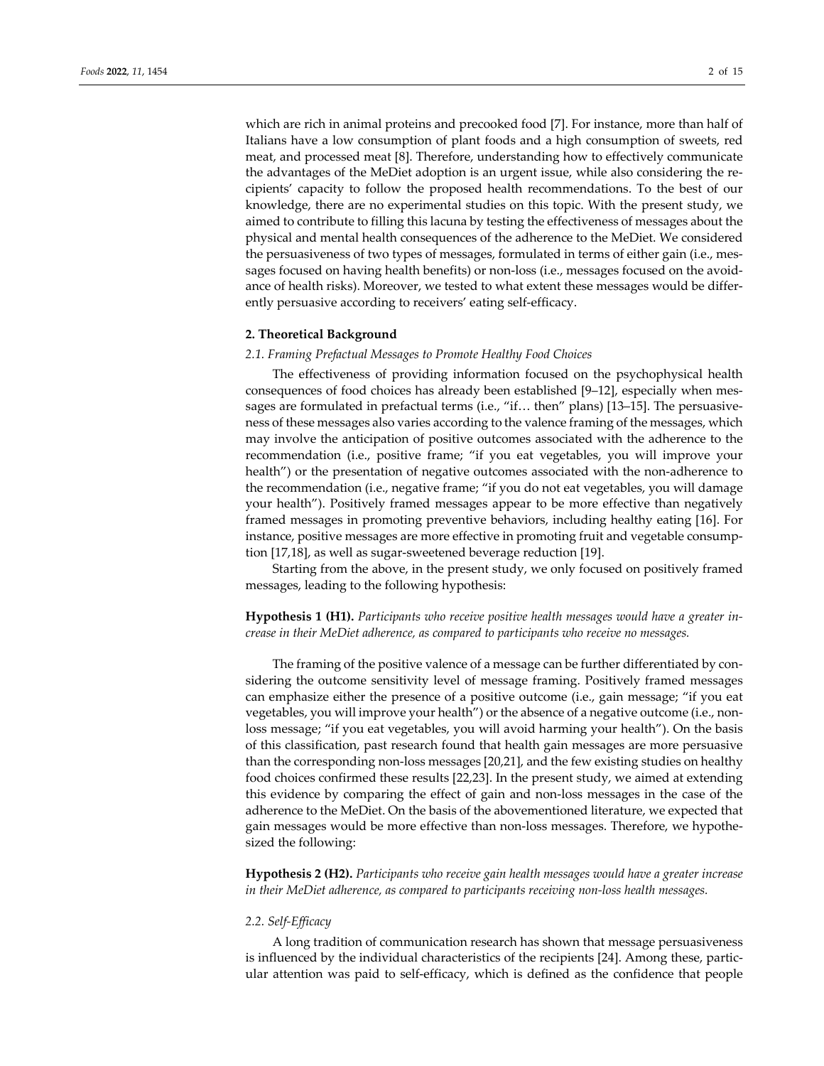which are rich in animal proteins and precooked food [7]. For instance, more than half of Italians have a low consumption of plant foods and a high consumption of sweets, red meat, and processed meat [8]. Therefore, understanding how to effectively communicate the advantages of the MeDiet adoption is an urgent issue, while also considering the re‐ cipients' capacity to follow the proposed health recommendations. To the best of our knowledge, there are no experimental studies on this topic. With the present study, we aimed to contribute to filling this lacuna by testing the effectiveness of messages about the physical and mental health consequences of the adherence to the MeDiet. We considered the persuasiveness of two types of messages, formulated in terms of either gain (i.e., mes‐ sages focused on having health benefits) or non-loss (i.e., messages focused on the avoidance of health risks). Moreover, we tested to what extent these messages would be differ‐ ently persuasive according to receivers' eating self‐efficacy.

## **2. Theoretical Background**

## *2.1. Framing Prefactual Messages to Promote Healthy Food Choices*

The effectiveness of providing information focused on the psychophysical health consequences of food choices has already been established [9–12], especially when messages are formulated in prefactual terms (i.e., "if... then" plans) [13–15]. The persuasiveness of these messages also varies according to the valence framing of the messages, which may involve the anticipation of positive outcomes associated with the adherence to the recommendation (i.e., positive frame; "if you eat vegetables, you will improve your health") or the presentation of negative outcomes associated with the non-adherence to the recommendation (i.e., negative frame; "if you do not eat vegetables, you will damage your health"). Positively framed messages appear to be more effective than negatively framed messages in promoting preventive behaviors, including healthy eating [16]. For instance, positive messages are more effective in promoting fruit and vegetable consumption [17,18], as well as sugar‐sweetened beverage reduction [19].

Starting from the above, in the present study, we only focused on positively framed messages, leading to the following hypothesis:

**Hypothesis 1 (H1).** *Participants who receive positive health messages would have a greater in‐ crease in their MeDiet adherence, as compared to participants who receive no messages.*

The framing of the positive valence of a message can be further differentiated by considering the outcome sensitivity level of message framing. Positively framed messages can emphasize either the presence of a positive outcome (i.e., gain message; "if you eat vegetables, you will improve your health") or the absence of a negative outcome (i.e., nonloss message; "if you eat vegetables, you will avoid harming your health"). On the basis of this classification, past research found that health gain messages are more persuasive than the corresponding non‐loss messages [20,21], and the few existing studies on healthy food choices confirmed these results [22,23]. In the present study, we aimed at extending this evidence by comparing the effect of gain and non‐loss messages in the case of the adherence to the MeDiet. On the basis of the abovementioned literature, we expected that gain messages would be more effective than non‐loss messages. Therefore, we hypothe‐ sized the following:

**Hypothesis 2 (H2).** *Participants who receive gain health messages would have a greater increase in their MeDiet adherence, as compared to participants receiving non‐loss health messages.*

#### *2.2. Self‐Efficacy*

A long tradition of communication research has shown that message persuasiveness is influenced by the individual characteristics of the recipients [24]. Among these, particular attention was paid to self‐efficacy, which is defined as the confidence that people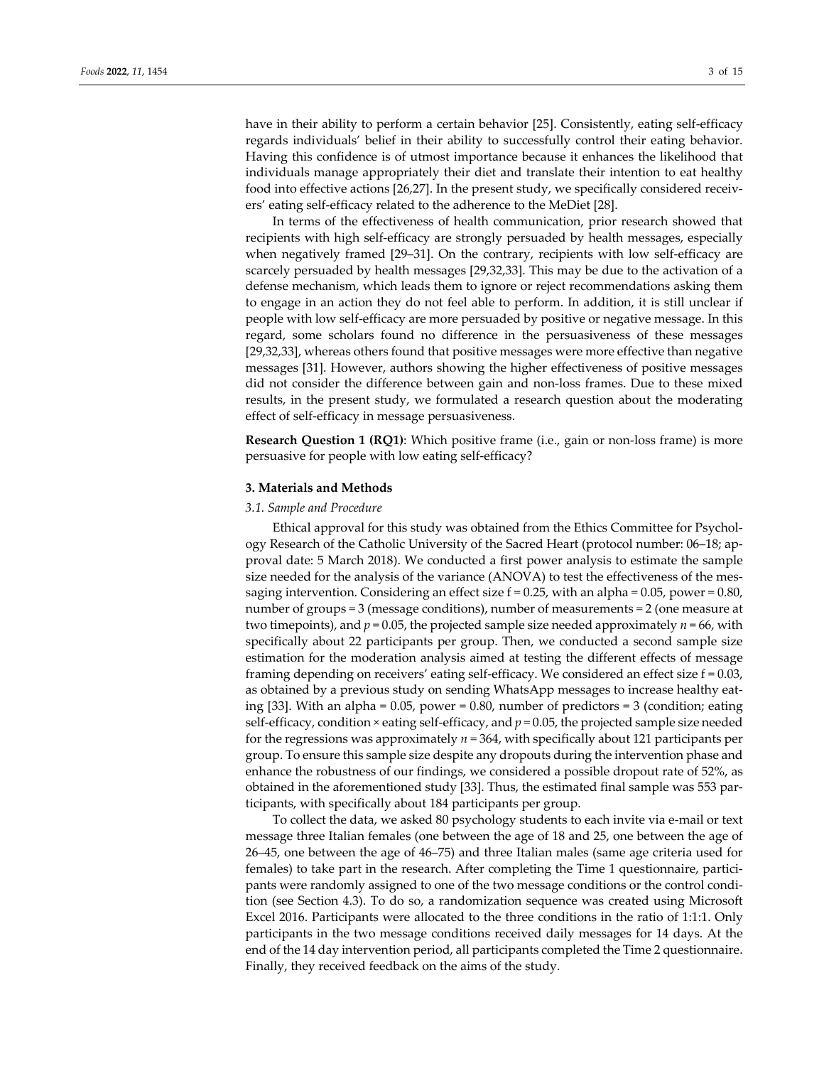have in their ability to perform a certain behavior [25]. Consistently, eating self-efficacy regards individuals' belief in their ability to successfully control their eating behavior. Having this confidence is of utmost importance because it enhances the likelihood that individuals manage appropriately their diet and translate their intention to eat healthy food into effective actions [26,27]. In the present study, we specifically considered receivers' eating self‐efficacy related to the adherence to the MeDiet [28].

In terms of the effectiveness of health communication, prior research showed that recipients with high self‐efficacy are strongly persuaded by health messages, especially when negatively framed [29–31]. On the contrary, recipients with low self-efficacy are scarcely persuaded by health messages [29,32,33]. This may be due to the activation of a defense mechanism, which leads them to ignore or reject recommendations asking them to engage in an action they do not feel able to perform. In addition, it is still unclear if people with low self‐efficacy are more persuaded by positive or negative message. In this regard, some scholars found no difference in the persuasiveness of these messages [29,32,33], whereas others found that positive messages were more effective than negative messages [31]. However, authors showing the higher effectiveness of positive messages did not consider the difference between gain and non‐loss frames. Due to these mixed results, in the present study, we formulated a research question about the moderating effect of self‐efficacy in message persuasiveness.

**Research Question 1 (RQ1):** Which positive frame (i.e., gain or non-loss frame) is more persuasive for people with low eating self‐efficacy?

## **3. Materials and Methods**

## *3.1. Sample and Procedure*

Ethical approval for this study was obtained from the Ethics Committee for Psychology Research of the Catholic University of the Sacred Heart (protocol number: 06–18; ap‐ proval date: 5 March 2018). We conducted a first power analysis to estimate the sample size needed for the analysis of the variance (ANOVA) to test the effectiveness of the messaging intervention. Considering an effect size  $f = 0.25$ , with an alpha = 0.05, power = 0.80, number of groups = 3 (message conditions), number of measurements = 2 (one measure at two timepoints), and  $p = 0.05$ , the projected sample size needed approximately  $n = 66$ , with specifically about 22 participants per group. Then, we conducted a second sample size estimation for the moderation analysis aimed at testing the different effects of message framing depending on receivers' eating self‐efficacy. We considered an effect size f = 0.03, as obtained by a previous study on sending WhatsApp messages to increase healthy eat‐ ing [33]. With an alpha =  $0.05$ , power =  $0.80$ , number of predictors = 3 (condition; eating self-efficacy, condition  $\times$  eating self-efficacy, and  $p = 0.05$ , the projected sample size needed for the regressions was approximately *n* = 364, with specifically about 121 participants per group. To ensure this sample size despite any dropouts during the intervention phase and enhance the robustness of our findings, we considered a possible dropout rate of 52%, as obtained in the aforementioned study [33]. Thus, the estimated final sample was 553 par‐ ticipants, with specifically about 184 participants per group.

To collect the data, we asked 80 psychology students to each invite via e‐mail or text message three Italian females (one between the age of 18 and 25, one between the age of 26–45, one between the age of 46–75) and three Italian males (same age criteria used for females) to take part in the research. After completing the Time 1 questionnaire, participants were randomly assigned to one of the two message conditions or the control condi‐ tion (see Section 4.3). To do so, a randomization sequence was created using Microsoft Excel 2016. Participants were allocated to the three conditions in the ratio of 1:1:1. Only participants in the two message conditions received daily messages for 14 days. At the end of the 14 day intervention period, all participants completed the Time 2 questionnaire. Finally, they received feedback on the aims of the study.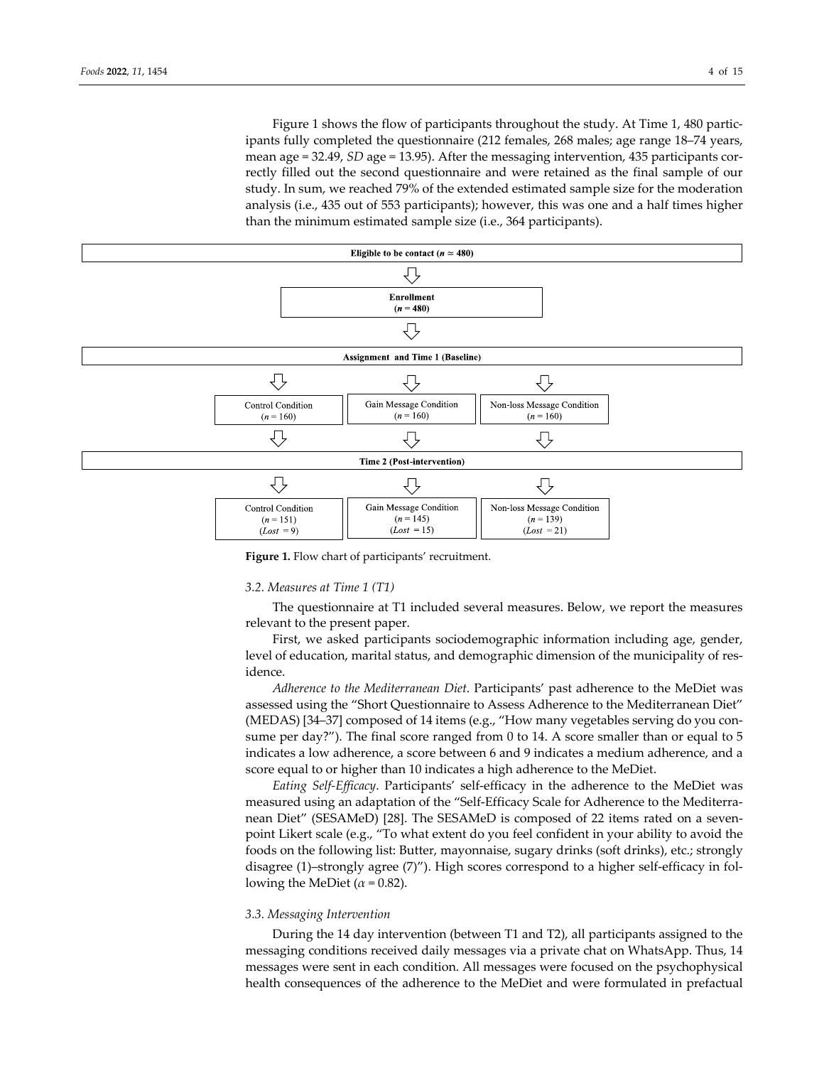Figure 1 shows the flow of participants throughout the study. At Time 1, 480 participants fully completed the questionnaire (212 females, 268 males; age range 18–74 years, mean age = 32.49, *SD* age = 13.95). After the messaging intervention, 435 participants correctly filled out the second questionnaire and were retained as the final sample of our study. In sum, we reached 79% of the extended estimated sample size for the moderation analysis (i.e., 435 out of 553 participants); however, this was one and a half times higher than the minimum estimated sample size (i.e., 364 participants).



**Figure 1.** Flow chart of participants' recruitment.

## *3.2. Measures at Time 1 (T1)*

The questionnaire at T1 included several measures. Below, we report the measures relevant to the present paper.

First, we asked participants sociodemographic information including age, gender, level of education, marital status, and demographic dimension of the municipality of res‐ idence.

*Adherence to the Mediterranean Diet*. Participants' past adherence to the MeDiet was assessed using the "Short Questionnaire to Assess Adherence to the Mediterranean Diet" (MEDAS) [34–37] composed of 14 items (e.g., "How many vegetables serving do you con‐ sume per day?"). The final score ranged from 0 to 14. A score smaller than or equal to 5 indicates a low adherence, a score between 6 and 9 indicates a medium adherence, and a score equal to or higher than 10 indicates a high adherence to the MeDiet.

*Eating Self‐Efficacy*. Participants' self‐efficacy in the adherence to the MeDiet was measured using an adaptation of the "Self‐Efficacy Scale for Adherence to the Mediterra‐ nean Diet" (SESAMeD) [28]. The SESAMeD is composed of 22 items rated on a sevenpoint Likert scale (e.g., "To what extent do you feel confident in your ability to avoid the foods on the following list: Butter, mayonnaise, sugary drinks (soft drinks), etc.; strongly disagree (1)–strongly agree (7)"). High scores correspond to a higher self‐efficacy in fol‐ lowing the MeDiet  $(\alpha = 0.82)$ .

#### *3.3. Messaging Intervention*

During the 14 day intervention (between T1 and T2), all participants assigned to the messaging conditions received daily messages via a private chat on WhatsApp. Thus, 14 messages were sent in each condition. All messages were focused on the psychophysical health consequences of the adherence to the MeDiet and were formulated in prefactual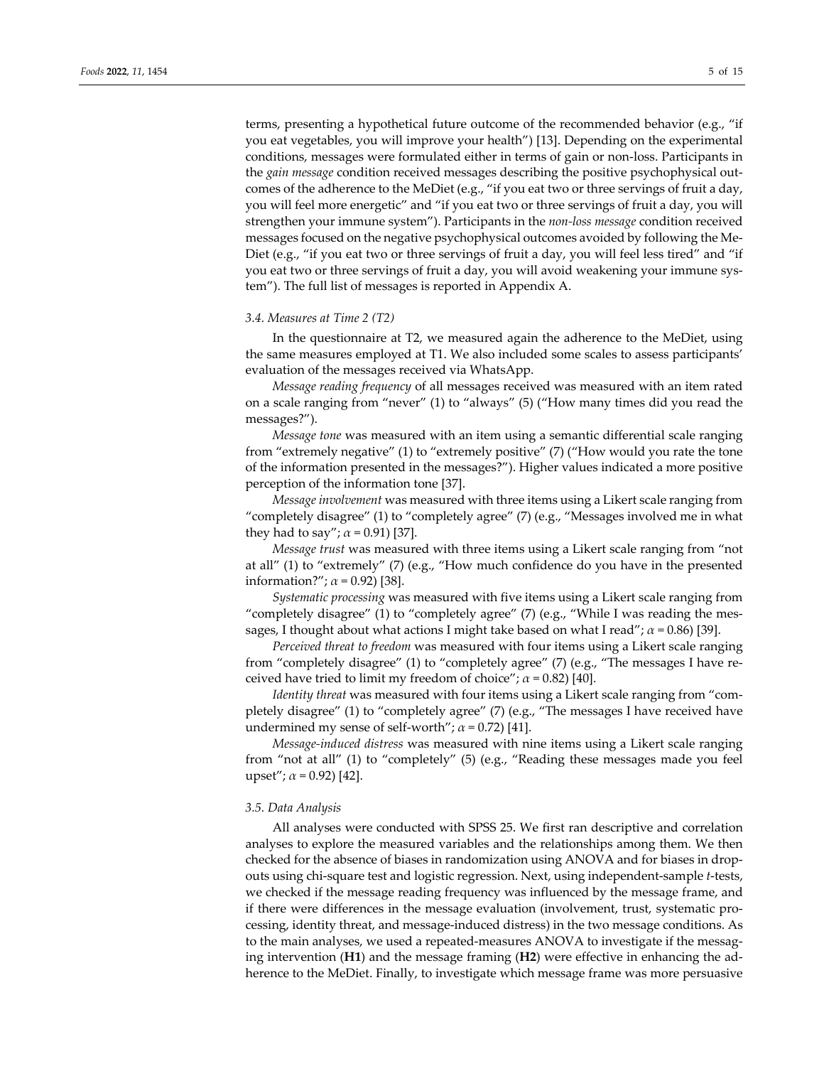terms, presenting a hypothetical future outcome of the recommended behavior (e.g., "if you eat vegetables, you will improve your health") [13]. Depending on the experimental conditions, messages were formulated either in terms of gain or non‐loss. Participants in the *gain message* condition received messages describing the positive psychophysical out‐ comes of the adherence to the MeDiet (e.g., "if you eat two or three servings of fruit a day, you will feel more energetic" and "if you eat two or three servings of fruit a day, you will strengthen your immune system"). Participants in the *non‐loss message* condition received messages focused on the negative psychophysical outcomes avoided by following the Me‐ Diet (e.g., "if you eat two or three servings of fruit a day, you will feel less tired" and "if you eat two or three servings of fruit a day, you will avoid weakening your immune sys‐ tem"). The full list of messages is reported in Appendix A.

#### *3.4. Measures at Time 2 (T2)*

In the questionnaire at T2, we measured again the adherence to the MeDiet, using the same measures employed at T1. We also included some scales to assess participants' evaluation of the messages received via WhatsApp.

*Message reading frequency* of all messages received was measured with an item rated on a scale ranging from "never" (1) to "always" (5) ("How many times did you read the messages?").

*Message tone* was measured with an item using a semantic differential scale ranging from "extremely negative" (1) to "extremely positive" (7) ("How would you rate the tone of the information presented in the messages?"). Higher values indicated a more positive perception of the information tone [37].

*Message involvement* was measured with three items using a Likert scale ranging from "completely disagree" (1) to "completely agree" (7) (e.g., "Messages involved me in what they had to say";  $\alpha$  = 0.91) [37].

*Message trust* was measured with three items using a Likert scale ranging from "not at all" (1) to "extremely" (7) (e.g., "How much confidence do you have in the presented information?";  $\alpha$  = 0.92) [38].

*Systematic processing* was measured with five items using a Likert scale ranging from "completely disagree" (1) to "completely agree" (7) (e.g., "While I was reading the mes‐ sages, I thought about what actions I might take based on what I read"; *α* = 0.86) [39].

*Perceived threat to freedom* was measured with four items using a Likert scale ranging from "completely disagree" (1) to "completely agree" (7) (e.g., "The messages I have re‐ ceived have tried to limit my freedom of choice";  $\alpha$  = 0.82) [40].

*Identity threat* was measured with four items using a Likert scale ranging from "com‐ pletely disagree" (1) to "completely agree" (7) (e.g., "The messages I have received have undermined my sense of self-worth";  $\alpha$  = 0.72) [41].

*Message‐induced distress* was measured with nine items using a Likert scale ranging from "not at all" (1) to "completely" (5) (e.g., "Reading these messages made you feel upset"; *α* = 0.92) [42].

#### *3.5. Data Analysis*

All analyses were conducted with SPSS 25. We first ran descriptive and correlation analyses to explore the measured variables and the relationships among them. We then checked for the absence of biases in randomization using ANOVA and for biases in drop‐ outs using chi‐square test and logistic regression. Next, using independent‐sample *t*‐tests, we checked if the message reading frequency was influenced by the message frame, and if there were differences in the message evaluation (involvement, trust, systematic pro‐ cessing, identity threat, and message‐induced distress) in the two message conditions. As to the main analyses, we used a repeated-measures ANOVA to investigate if the messaging intervention (**H1**) and the message framing (**H2**) were effective in enhancing the ad‐ herence to the MeDiet. Finally, to investigate which message frame was more persuasive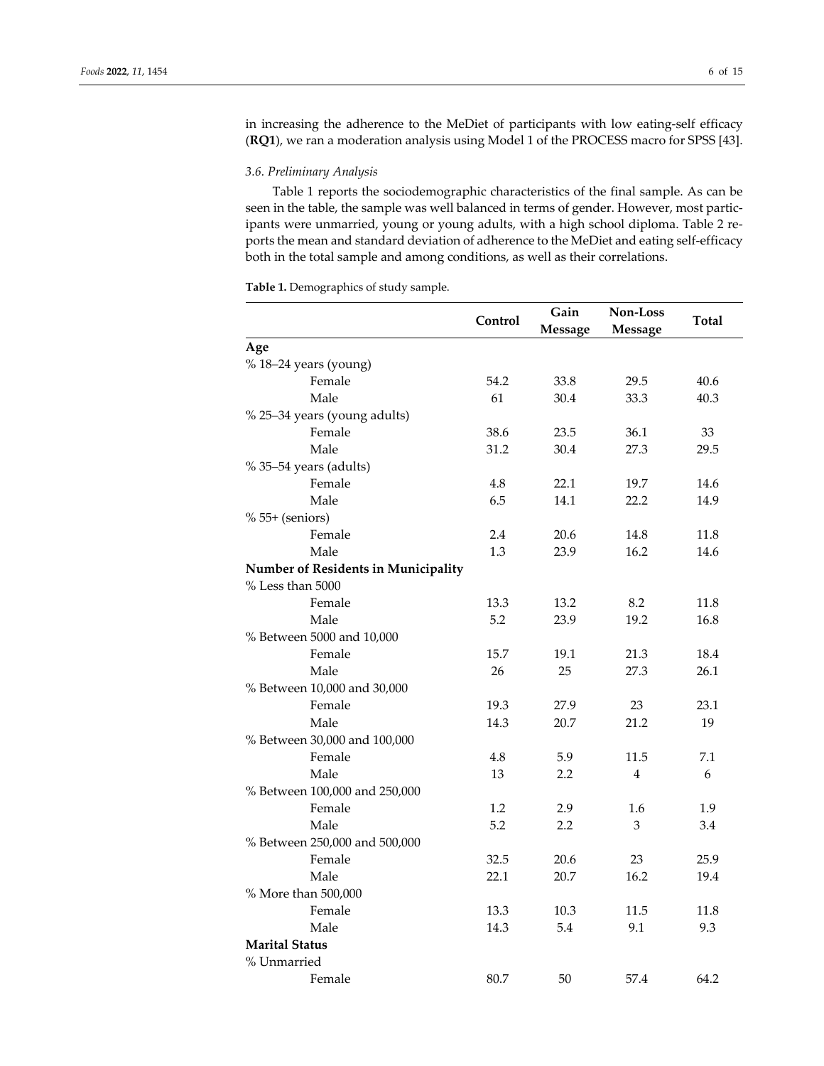in increasing the adherence to the MeDiet of participants with low eating-self efficacy (**RQ1**), we ran a moderation analysis using Model 1 of the PROCESS macro for SPSS [43].

# *3.6. Preliminary Analysis*

Table 1 reports the sociodemographic characteristics of the final sample. As can be seen in the table, the sample was well balanced in terms of gender. However, most participants were unmarried, young or young adults, with a high school diploma. Table 2 reports the mean and standard deviation of adherence to the MeDiet and eating self‐efficacy both in the total sample and among conditions, as well as their correlations.

**Table 1.** Demographics of study sample.

|                                     | Control | Gain<br><b>Message</b> | Non-Loss<br><b>Message</b> | Total |  |  |  |  |  |
|-------------------------------------|---------|------------------------|----------------------------|-------|--|--|--|--|--|
| Age                                 |         |                        |                            |       |  |  |  |  |  |
| % 18-24 years (young)               |         |                        |                            |       |  |  |  |  |  |
| Female                              | 54.2    | 33.8                   | 29.5                       | 40.6  |  |  |  |  |  |
| Male                                | 61      | 30.4                   | 33.3                       | 40.3  |  |  |  |  |  |
| % 25-34 years (young adults)        |         |                        |                            |       |  |  |  |  |  |
| Female                              | 38.6    | 23.5                   | 36.1                       | 33    |  |  |  |  |  |
| Male                                | 31.2    | 30.4                   | 27.3                       | 29.5  |  |  |  |  |  |
| % 35-54 years (adults)              |         |                        |                            |       |  |  |  |  |  |
| Female                              | 4.8     | 22.1                   | 19.7                       | 14.6  |  |  |  |  |  |
| Male                                | 6.5     | 14.1                   | 22.2                       | 14.9  |  |  |  |  |  |
| $% 55+$ (seniors)                   |         |                        |                            |       |  |  |  |  |  |
| Female                              | 2.4     | 20.6                   | 14.8                       | 11.8  |  |  |  |  |  |
| Male                                | 1.3     | 23.9                   | 16.2                       | 14.6  |  |  |  |  |  |
| Number of Residents in Municipality |         |                        |                            |       |  |  |  |  |  |
| % Less than 5000                    |         |                        |                            |       |  |  |  |  |  |
| Female                              | 13.3    | 13.2                   | 8.2                        | 11.8  |  |  |  |  |  |
| Male                                | 5.2     | 23.9                   | 19.2                       | 16.8  |  |  |  |  |  |
| % Between 5000 and 10,000           |         |                        |                            |       |  |  |  |  |  |
| Female                              | 15.7    | 19.1                   | 21.3                       | 18.4  |  |  |  |  |  |
| Male                                | 26      | 25                     | 27.3                       | 26.1  |  |  |  |  |  |
| % Between 10,000 and 30,000         |         |                        |                            |       |  |  |  |  |  |
| Female                              | 19.3    | 27.9                   | 23                         | 23.1  |  |  |  |  |  |
| Male                                | 14.3    | 20.7                   | 21.2                       | 19    |  |  |  |  |  |
| % Between 30,000 and 100,000        |         |                        |                            |       |  |  |  |  |  |
| Female                              | 4.8     | 5.9                    | 11.5                       | 7.1   |  |  |  |  |  |
| Male                                | 13      | 2.2                    | 4                          | 6     |  |  |  |  |  |
| % Between 100,000 and 250,000       |         |                        |                            |       |  |  |  |  |  |
| Female                              | 1.2     | 2.9                    | 1.6                        | 1.9   |  |  |  |  |  |
| Male                                | 5.2     | 2.2                    | 3                          | 3.4   |  |  |  |  |  |
| % Between 250,000 and 500,000       |         |                        |                            |       |  |  |  |  |  |
| Female                              | 32.5    | 20.6                   | 23                         | 25.9  |  |  |  |  |  |
| Male                                | 22.1    | 20.7                   | 16.2                       | 19.4  |  |  |  |  |  |
| % More than 500,000                 |         |                        |                            |       |  |  |  |  |  |
| Female                              | 13.3    | 10.3                   | 11.5                       | 11.8  |  |  |  |  |  |
| Male                                | 14.3    | 5.4                    | 9.1                        | 9.3   |  |  |  |  |  |
| <b>Marital Status</b>               |         |                        |                            |       |  |  |  |  |  |
| % Unmarried                         |         |                        |                            |       |  |  |  |  |  |
| Female                              | 80.7    | 50                     | 57.4                       | 64.2  |  |  |  |  |  |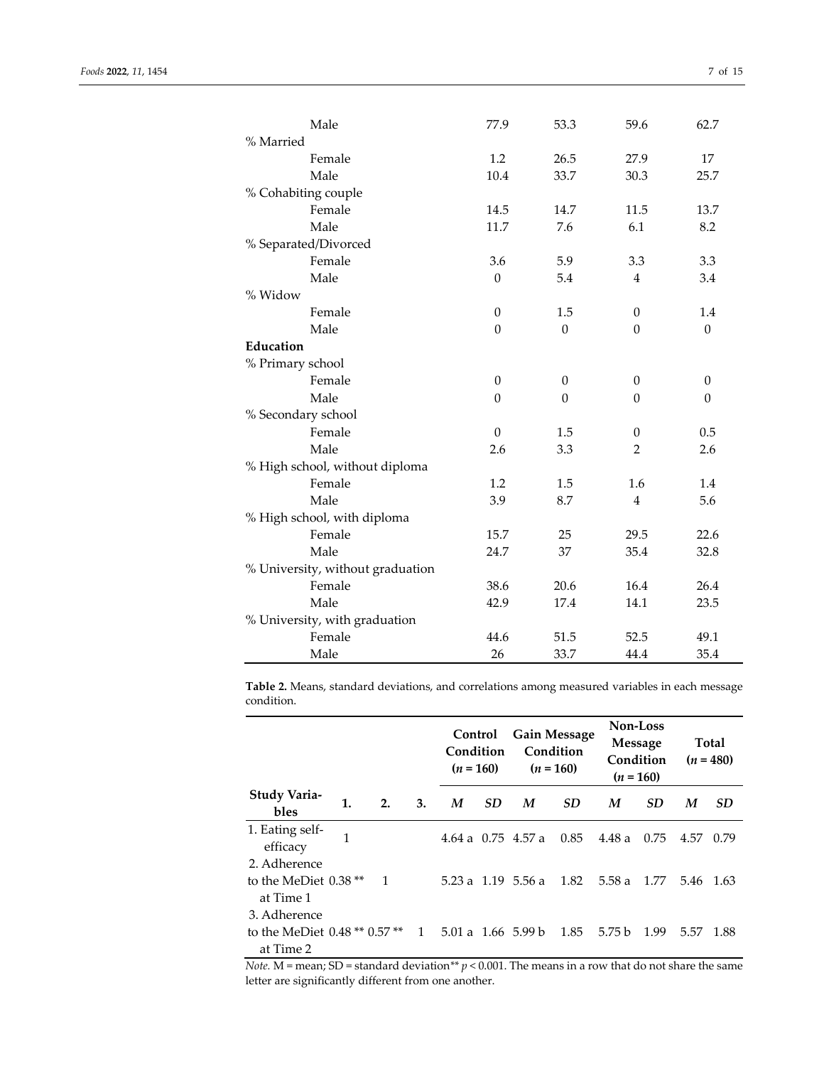|                                | Male                             | 77.9             | 53.3             | 59.6             | 62.7     |  |  |
|--------------------------------|----------------------------------|------------------|------------------|------------------|----------|--|--|
| % Married                      |                                  |                  |                  |                  |          |  |  |
|                                | Female                           | 1.2              | 26.5             | 27.9             | 17       |  |  |
|                                | Male                             | 10.4             | 33.7             | 30.3             | 25.7     |  |  |
|                                | % Cohabiting couple              |                  |                  |                  |          |  |  |
|                                | Female                           | 14.5             | 14.7             | 11.5             | 13.7     |  |  |
|                                | Male                             | 11.7             | 7.6              | 6.1              | 8.2      |  |  |
|                                | % Separated/Divorced             |                  |                  |                  |          |  |  |
|                                | Female                           | 3.6              | 5.9              | 3.3              | 3.3      |  |  |
|                                | Male                             | $\Omega$         | 5.4              | 4                | 3.4      |  |  |
| % Widow                        |                                  |                  |                  |                  |          |  |  |
|                                | Female                           | $\theta$         | 1.5              | $\boldsymbol{0}$ | 1.4      |  |  |
|                                | Male                             | $\mathbf{0}$     | $\theta$         | $\theta$         | $\theta$ |  |  |
| Education                      |                                  |                  |                  |                  |          |  |  |
| % Primary school               |                                  |                  |                  |                  |          |  |  |
|                                | Female                           | $\mathbf{0}$     | $\boldsymbol{0}$ | $\boldsymbol{0}$ | $\theta$ |  |  |
|                                | Male                             | $\theta$         | $\theta$         | $\theta$         | $\theta$ |  |  |
| % Secondary school             |                                  |                  |                  |                  |          |  |  |
|                                | Female                           | $\boldsymbol{0}$ | 1.5              | $\boldsymbol{0}$ | 0.5      |  |  |
|                                | Male                             | 2.6              | 3.3              | $\overline{2}$   | 2.6      |  |  |
| % High school, without diploma |                                  |                  |                  |                  |          |  |  |
|                                | Female                           | 1.2              | 1.5              | 1.6              | 1.4      |  |  |
|                                | Male                             | 3.9              | 8.7              | 4                | 5.6      |  |  |
|                                | % High school, with diploma      |                  |                  |                  |          |  |  |
|                                | Female                           | 15.7             | 25               | 29.5             | 22.6     |  |  |
|                                | Male                             | 24.7             | 37               | 35.4             | 32.8     |  |  |
|                                | % University, without graduation |                  |                  |                  |          |  |  |
|                                | Female                           | 38.6             | 20.6             | 16.4             | 26.4     |  |  |
|                                | Male                             | 42.9             | 17.4             | 14.1             | 23.5     |  |  |
|                                | % University, with graduation    |                  |                  |                  |          |  |  |
|                                | Female                           | 44.6             |                  | 52.5             | 49.1     |  |  |
|                                |                                  |                  | 51.5             |                  |          |  |  |
|                                | Male                             | 26               | 33.7             | 44.4             | 35.4     |  |  |

**Table 2.** Means, standard deviations, and correlations among measured variables in each message condition.

|                                                            |    |    |    | Control<br>Condition<br>$(n = 160)$ |           | <b>Gain Message</b><br>Condition<br>$(n = 160)$ |           | Non-Loss<br>Message<br>Condition<br>$(n = 160)$ |           | <b>Total</b><br>$(n = 480)$ |           |
|------------------------------------------------------------|----|----|----|-------------------------------------|-----------|-------------------------------------------------|-----------|-------------------------------------------------|-----------|-----------------------------|-----------|
| Study Varia-<br>bles                                       | 1. | 2. | 3. | M                                   | <b>SD</b> | M                                               | <b>SD</b> | M                                               | <b>SD</b> | M                           | <b>SD</b> |
| 1. Eating self-<br>efficacy                                | 1  |    |    |                                     |           | 4.64 a $0.75$ 4.57 a                            | 0.85      | 4.48 a                                          | 0.75      | 4.57                        | 0.79      |
| 2. Adherence<br>to the MeDiet $0.38**$<br>at Time 1        |    | 1  |    |                                     |           | 5.23 a 1.19 5.56 a                              | 1.82      | 5.58 a                                          | 1.77      |                             | 5.46 1.63 |
| 3. Adherence<br>to the MeDiet 0.48 ** 0.57 **<br>at Time 2 |    |    | 1  |                                     |           | 5.01 a 1.66 5.99 b                              | 1.85      | 5.75 b                                          | 1.99      | 5.57                        | -1.88     |

*Note.* M = mean; SD = standard deviation*\*\* p* < 0.001. The means in a row that do not share the same letter are significantly different from one another.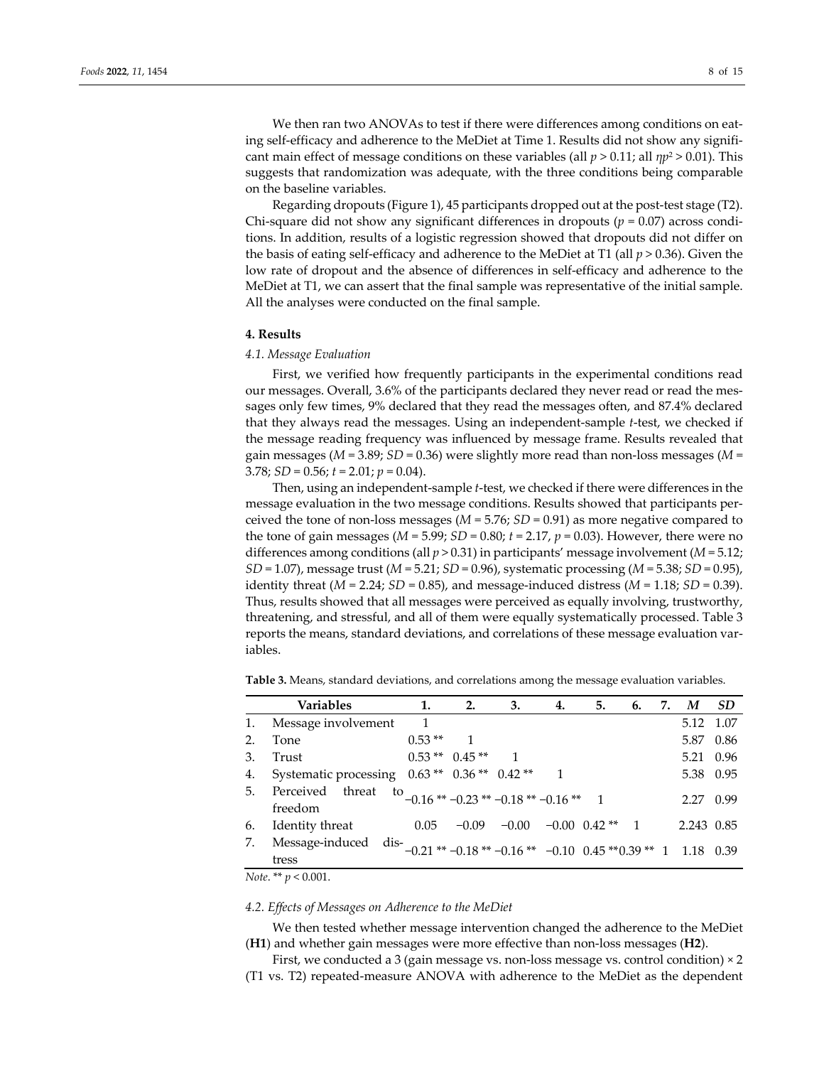We then ran two ANOVAs to test if there were differences among conditions on eating self-efficacy and adherence to the MeDiet at Time 1. Results did not show any significant main effect of message conditions on these variables (all  $p > 0.11$ ; all  $np^2 > 0.01$ ). This suggests that randomization was adequate, with the three conditions being comparable on the baseline variables.

Regarding dropouts (Figure 1), 45 participants dropped out at the post-test stage (T2). Chi-square did not show any significant differences in dropouts ( $p = 0.07$ ) across conditions. In addition, results of a logistic regression showed that dropouts did not differ on the basis of eating self‐efficacy and adherence to the MeDiet at T1 (all *p* > 0.36). Given the low rate of dropout and the absence of differences in self‐efficacy and adherence to the MeDiet at T1, we can assert that the final sample was representative of the initial sample. All the analyses were conducted on the final sample.

#### **4. Results**

## *4.1. Message Evaluation*

First, we verified how frequently participants in the experimental conditions read our messages. Overall, 3.6% of the participants declared they never read or read the messages only few times, 9% declared that they read the messages often, and 87.4% declared that they always read the messages. Using an independent‐sample *t*‐test, we checked if the message reading frequency was influenced by message frame. Results revealed that gain messages ( $M = 3.89$ ;  $SD = 0.36$ ) were slightly more read than non-loss messages ( $M = 1$ 3.78; *SD* = 0.56; *t* = 2.01; *p* = 0.04).

Then, using an independent‐sample *t*‐test, we checked if there were differences in the message evaluation in the two message conditions. Results showed that participants per‐ ceived the tone of non-loss messages ( $M = 5.76$ ;  $SD = 0.91$ ) as more negative compared to the tone of gain messages ( $M = 5.99$ ;  $SD = 0.80$ ;  $t = 2.17$ ,  $p = 0.03$ ). However, there were no differences among conditions (all *p* > 0.31) in participants' message involvement (*M* = 5.12; *SD* = 1.07), message trust (*M* = 5.21; *SD* = 0.96), systematic processing (*M* = 5.38; *SD* = 0.95), identity threat ( $M = 2.24$ ;  $SD = 0.85$ ), and message-induced distress ( $M = 1.18$ ;  $SD = 0.39$ ). Thus, results showed that all messages were perceived as equally involving, trustworthy, threatening, and stressful, and all of them were equally systematically processed. Table 3 reports the means, standard deviations, and correlations of these message evaluation variables.

|  |  |  |  |  |  |  |  | <b>Table 3.</b> Means, standard deviations, and correlations among the message evaluation variables. |  |  |
|--|--|--|--|--|--|--|--|------------------------------------------------------------------------------------------------------|--|--|
|--|--|--|--|--|--|--|--|------------------------------------------------------------------------------------------------------|--|--|

|                               | <b>Variables</b>                                                                       | 1.           | 2.                           | 3.                                               | 4. | 5. | 6. | 7. | M          | <b>SD</b> |
|-------------------------------|----------------------------------------------------------------------------------------|--------------|------------------------------|--------------------------------------------------|----|----|----|----|------------|-----------|
| 1.                            | Message involvement                                                                    | $\mathbf{1}$ |                              |                                                  |    |    |    |    | 5.12 1.07  |           |
| 2.                            | Tone                                                                                   | $0.53**$ 1   |                              |                                                  |    |    |    |    |            | 5.87 0.86 |
| 3.                            | Trust                                                                                  |              | $0.53***$ 0.45 <sup>**</sup> |                                                  |    |    |    |    |            | 5.21 0.96 |
| 4.                            | Systematic processing                                                                  |              |                              | $0.63$ ** $0.36$ ** $0.42$ ** 1                  |    |    |    |    |            | 5.38 0.95 |
| 5.                            | Perceived threat<br>freedom                                                            |              |                              | to $-0.16$ ** $-0.23$ ** $-0.18$ ** $-0.16$ ** 1 |    |    |    |    | 2.27 0.99  |           |
| 6.                            | Identity threat                                                                        | 0.05         |                              | $-0.09$ $-0.00$ $-0.00$ $0.42$ ** 1              |    |    |    |    | 2.243 0.85 |           |
| 7.                            | Message-induced dis- $-0.21**-0.18**-0.16**$ -0.10 0.45 **0.39 ** 1 1.18 0.39<br>tress |              |                              |                                                  |    |    |    |    |            |           |
| <i>Note.</i> ** $p < 0.001$ . |                                                                                        |              |                              |                                                  |    |    |    |    |            |           |

#### *4.2. Effects of Messages on Adherence to the MeDiet*

We then tested whether message intervention changed the adherence to the MeDiet (**H1**) and whether gain messages were more effective than non‐loss messages (**H2**).

First, we conducted a 3 (gain message vs. non-loss message vs. control condition)  $\times$  2 (T1 vs. T2) repeated‐measure ANOVA with adherence to the MeDiet as the dependent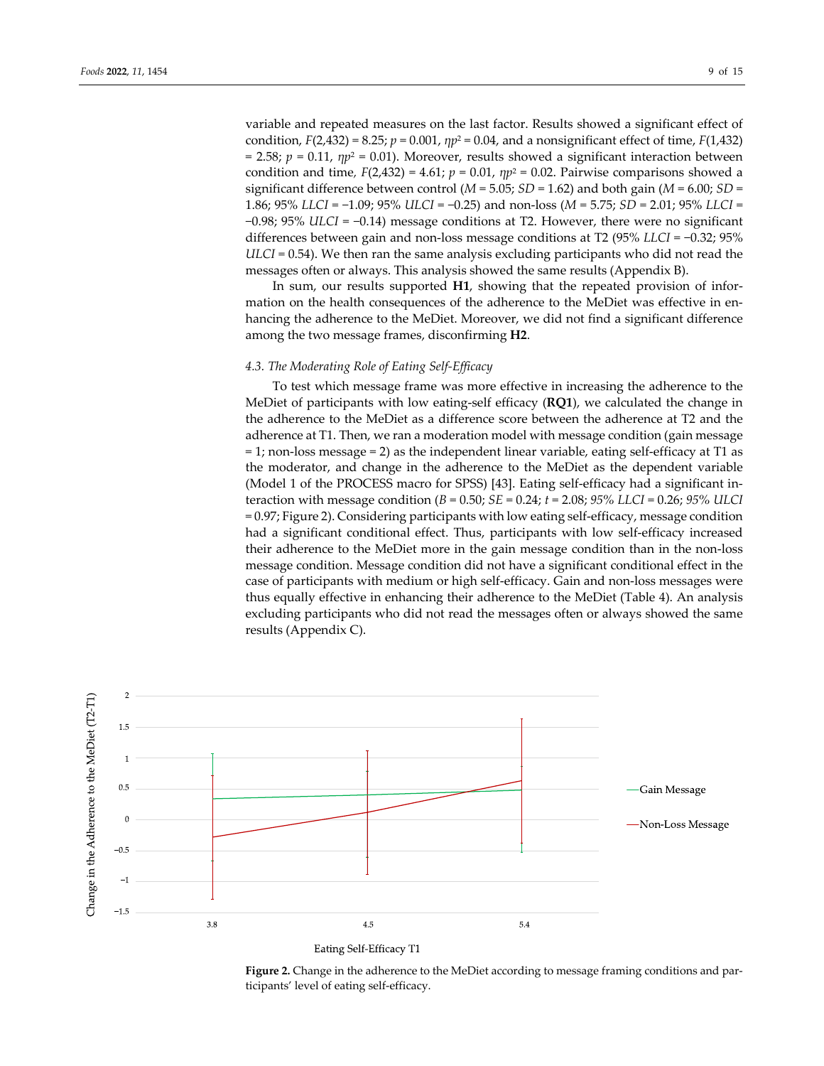variable and repeated measures on the last factor. Results showed a significant effect of condition,  $F(2,432) = 8.25$ ;  $p = 0.001$ ,  $np^2 = 0.04$ , and a nonsignificant effect of time,  $F(1,432)$  $= 2.58$ ;  $p = 0.11$ ,  $\eta p^2 = 0.01$ ). Moreover, results showed a significant interaction between condition and time,  $F(2,432) = 4.61$ ;  $p = 0.01$ ,  $np^2 = 0.02$ . Pairwise comparisons showed a significant difference between control ( $M = 5.05$ ;  $SD = 1.62$ ) and both gain ( $M = 6.00$ ;  $SD =$ 1.86; 95% *LLCI* = −1.09; 95% *ULCI* = −0.25) and non‐loss (*M* = 5.75; *SD* = 2.01; 95% *LLCI* = −0.98; 95% *ULCI* = −0.14) message conditions at T2. However, there were no significant differences between gain and non‐loss message conditions at T2 (95% *LLCI* = −0.32; 95% *ULCI* = 0.54). We then ran the same analysis excluding participants who did not read the messages often or always. This analysis showed the same results (Appendix B).

In sum, our results supported **H1**, showing that the repeated provision of infor‐ mation on the health consequences of the adherence to the MeDiet was effective in enhancing the adherence to the MeDiet. Moreover, we did not find a significant difference among the two message frames, disconfirming **H2**.

## *4.3. The Moderating Role of Eating Self‐Efficacy*

To test which message frame was more effective in increasing the adherence to the MeDiet of participants with low eating‐self efficacy (**RQ1**), we calculated the change in the adherence to the MeDiet as a difference score between the adherence at T2 and the adherence at T1. Then, we ran a moderation model with message condition (gain message = 1; non‐loss message = 2) as the independent linear variable, eating self‐efficacy at T1 as the moderator, and change in the adherence to the MeDiet as the dependent variable (Model 1 of the PROCESS macro for SPSS) [43]. Eating self‐efficacy had a significant in‐ teraction with message condition (*B* = 0.50; *SE* = 0.24; *t* = 2.08; *95% LLCI* = 0.26; *95% ULCI* = 0.97; Figure 2). Considering participants with low eating self‐efficacy, message condition had a significant conditional effect. Thus, participants with low self-efficacy increased their adherence to the MeDiet more in the gain message condition than in the non‐loss message condition. Message condition did not have a significant conditional effect in the case of participants with medium or high self‐efficacy. Gain and non‐loss messages were thus equally effective in enhancing their adherence to the MeDiet (Table 4). An analysis excluding participants who did not read the messages often or always showed the same results (Appendix C).



Eating Self-Efficacy T1

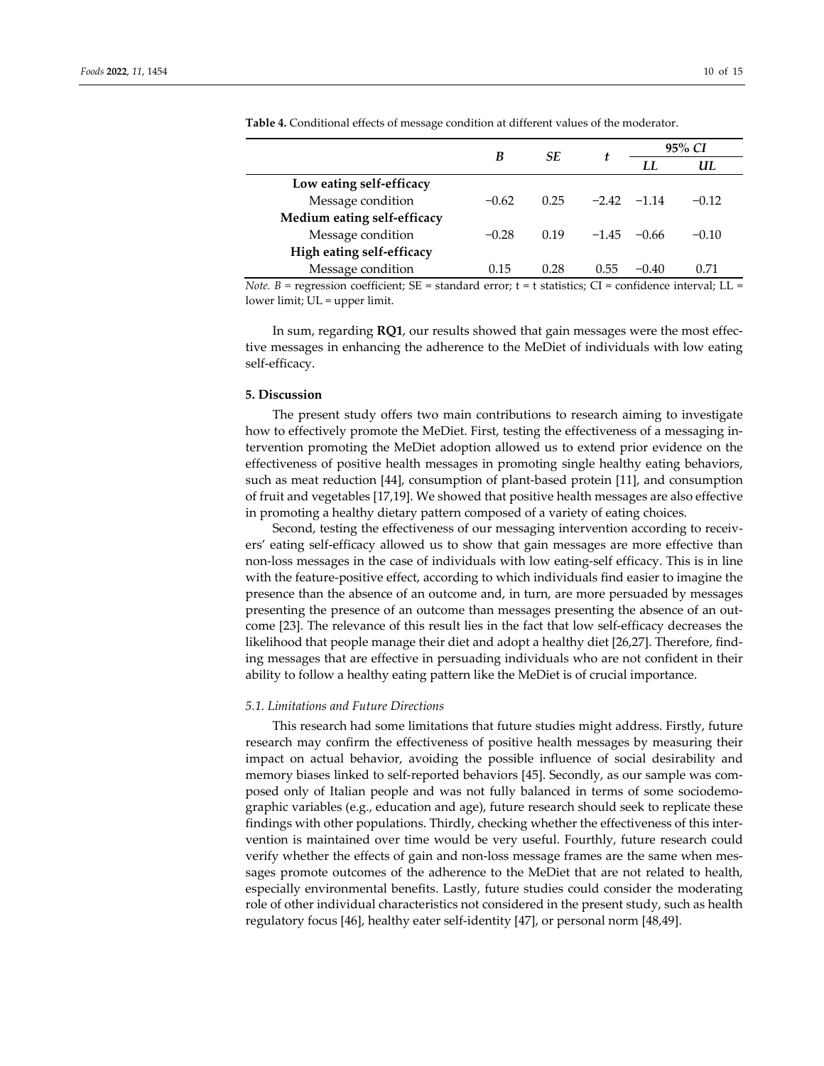|                                                                                                                                                                                                                                |         | <b>SE</b> |               | 95% CI  |         |  |
|--------------------------------------------------------------------------------------------------------------------------------------------------------------------------------------------------------------------------------|---------|-----------|---------------|---------|---------|--|
|                                                                                                                                                                                                                                |         |           | τ             |         | UL      |  |
| Low eating self-efficacy                                                                                                                                                                                                       |         |           |               |         |         |  |
| Message condition                                                                                                                                                                                                              | $-0.62$ | 0.25      | $-2.42 -1.14$ |         | $-0.12$ |  |
| Medium eating self-efficacy                                                                                                                                                                                                    |         |           |               |         |         |  |
| Message condition                                                                                                                                                                                                              | $-0.28$ | 0.19      | $-1.45$       | $-0.66$ | $-0.10$ |  |
| High eating self-efficacy                                                                                                                                                                                                      |         |           |               |         |         |  |
| Message condition                                                                                                                                                                                                              | 0.15    | 0.28      | 0.55          | $-0.40$ | 0.71    |  |
| TIME IN A CONTROLLED TO A LITTLE A CONTROLLED A LITTLE AND A LITTLE AND A LITTLE AND A LITTLE AND A LITTLE AND A LITTLE AND A LITTLE AND A LITTLE AND A LITTLE AND A LITTLE AND A LITTLE AND A LITTLE AND A LITTLE AND A LITTL |         |           |               |         |         |  |

**Table 4.** Conditional effects of message condition at different values of the moderator.

*Note.*  $B$  = regression coefficient;  $SE$  = standard error; t = t statistics; CI = confidence interval; LL = lower limit; UL = upper limit.

In sum, regarding **RQ1**, our results showed that gain messages were the most effec‐ tive messages in enhancing the adherence to the MeDiet of individuals with low eating self‐efficacy.

#### **5. Discussion**

The present study offers two main contributions to research aiming to investigate how to effectively promote the MeDiet. First, testing the effectiveness of a messaging intervention promoting the MeDiet adoption allowed us to extend prior evidence on the effectiveness of positive health messages in promoting single healthy eating behaviors, such as meat reduction [44], consumption of plant-based protein [11], and consumption of fruit and vegetables [17,19]. We showed that positive health messages are also effective in promoting a healthy dietary pattern composed of a variety of eating choices.

Second, testing the effectiveness of our messaging intervention according to receiv‐ ers' eating self‐efficacy allowed us to show that gain messages are more effective than non‐loss messages in the case of individuals with low eating‐self efficacy. This is in line with the feature-positive effect, according to which individuals find easier to imagine the presence than the absence of an outcome and, in turn, are more persuaded by messages presenting the presence of an outcome than messages presenting the absence of an out‐ come [23]. The relevance of this result lies in the fact that low self-efficacy decreases the likelihood that people manage their diet and adopt a healthy diet [26,27]. Therefore, find‐ ing messages that are effective in persuading individuals who are not confident in their ability to follow a healthy eating pattern like the MeDiet is of crucial importance.

#### *5.1. Limitations and Future Directions*

This research had some limitations that future studies might address. Firstly, future research may confirm the effectiveness of positive health messages by measuring their impact on actual behavior, avoiding the possible influence of social desirability and memory biases linked to self-reported behaviors [45]. Secondly, as our sample was composed only of Italian people and was not fully balanced in terms of some sociodemo‐ graphic variables (e.g., education and age), future research should seek to replicate these findings with other populations. Thirdly, checking whether the effectiveness of this inter‐ vention is maintained over time would be very useful. Fourthly, future research could verify whether the effects of gain and non‐loss message frames are the same when mes‐ sages promote outcomes of the adherence to the MeDiet that are not related to health, especially environmental benefits. Lastly, future studies could consider the moderating role of other individual characteristics not considered in the present study, such as health regulatory focus [46], healthy eater self‐identity [47], or personal norm [48,49].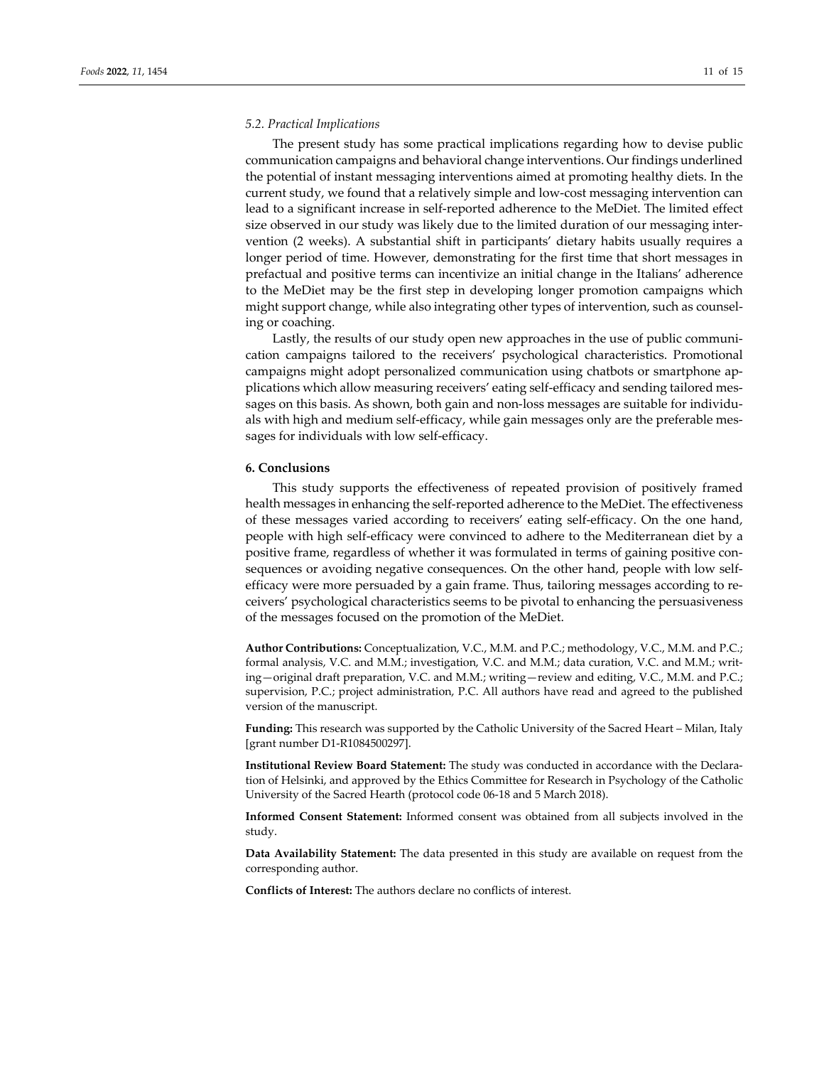## *5.2. Practical Implications*

The present study has some practical implications regarding how to devise public communication campaigns and behavioral change interventions. Our findings underlined the potential of instant messaging interventions aimed at promoting healthy diets. In the current study, we found that a relatively simple and low‐cost messaging intervention can lead to a significant increase in self‐reported adherence to the MeDiet. The limited effect size observed in our study was likely due to the limited duration of our messaging inter‐ vention (2 weeks). A substantial shift in participants' dietary habits usually requires a longer period of time. However, demonstrating for the first time that short messages in prefactual and positive terms can incentivize an initial change in the Italians' adherence to the MeDiet may be the first step in developing longer promotion campaigns which might support change, while also integrating other types of intervention, such as counsel‐ ing or coaching.

Lastly, the results of our study open new approaches in the use of public communi‐ cation campaigns tailored to the receivers' psychological characteristics. Promotional campaigns might adopt personalized communication using chatbots or smartphone ap‐ plications which allow measuring receivers' eating self‐efficacy and sending tailored mes‐ sages on this basis. As shown, both gain and non-loss messages are suitable for individuals with high and medium self-efficacy, while gain messages only are the preferable messages for individuals with low self‐efficacy.

## **6. Conclusions**

This study supports the effectiveness of repeated provision of positively framed health messages in enhancing the self-reported adherence to the MeDiet. The effectiveness of these messages varied according to receivers' eating self‐efficacy. On the one hand, people with high self‐efficacy were convinced to adhere to the Mediterranean diet by a positive frame, regardless of whether it was formulated in terms of gaining positive consequences or avoiding negative consequences. On the other hand, people with low selfefficacy were more persuaded by a gain frame. Thus, tailoring messages according to re‐ ceivers' psychological characteristics seems to be pivotal to enhancing the persuasiveness of the messages focused on the promotion of the MeDiet.

**Author Contributions:** Conceptualization, V.C., M.M. and P.C.; methodology, V.C., M.M. and P.C.; formal analysis, V.C. and M.M.; investigation, V.C. and M.M.; data curation, V.C. and M.M.; writ‐ ing—original draft preparation, V.C. and M.M.; writing—review and editing, V.C., M.M. and P.C.; supervision, P.C.; project administration, P.C. All authors have read and agreed to the published version of the manuscript.

**Funding:** This research was supported by the Catholic University of the Sacred Heart – Milan, Italy [grant number D1‐R1084500297].

**Institutional Review Board Statement:** The study was conducted in accordance with the Declara‐ tion of Helsinki, and approved by the Ethics Committee for Research in Psychology of the Catholic University of the Sacred Hearth (protocol code 06‐18 and 5 March 2018).

**Informed Consent Statement:** Informed consent was obtained from all subjects involved in the study.

**Data Availability Statement:** The data presented in this study are available on request from the corresponding author.

**Conflicts of Interest:** The authors declare no conflicts of interest.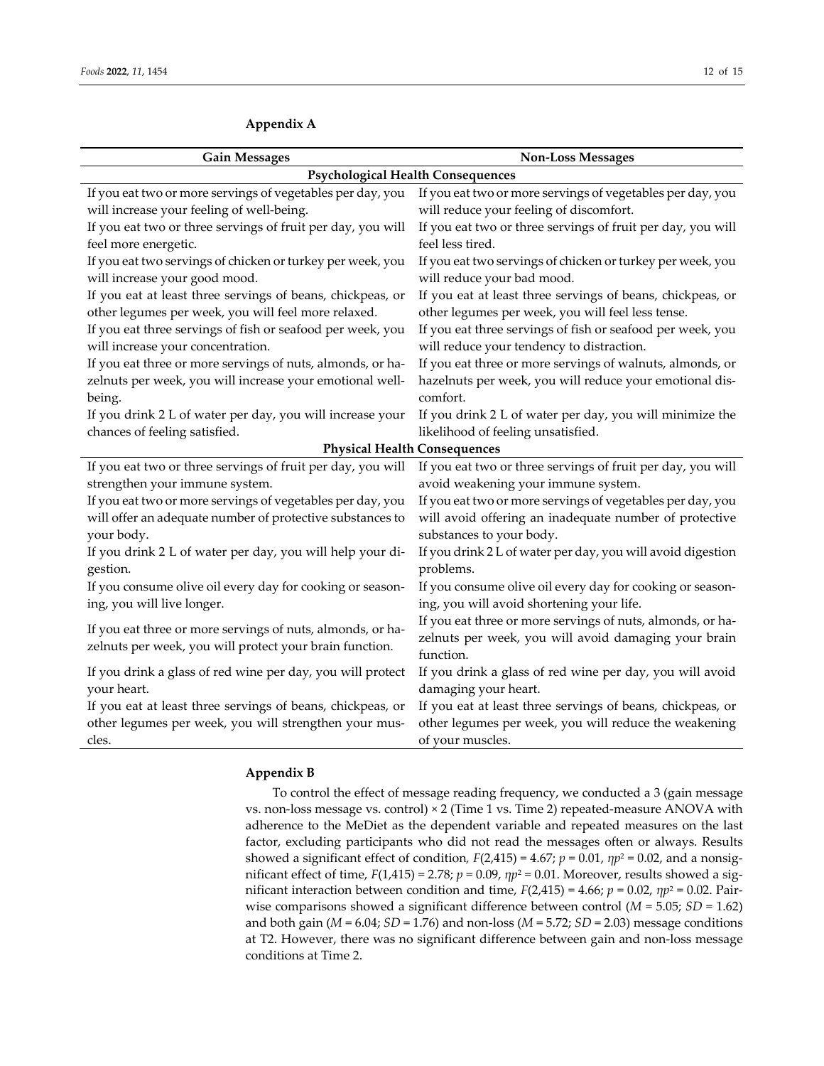| <b>Gain Messages</b>                                                                                                  | <b>Non-Loss Messages</b>                                                                                                              |
|-----------------------------------------------------------------------------------------------------------------------|---------------------------------------------------------------------------------------------------------------------------------------|
|                                                                                                                       | <b>Psychological Health Consequences</b>                                                                                              |
| If you eat two or more servings of vegetables per day, you                                                            | If you eat two or more servings of vegetables per day, you                                                                            |
| will increase your feeling of well-being.                                                                             | will reduce your feeling of discomfort.                                                                                               |
| If you eat two or three servings of fruit per day, you will                                                           | If you eat two or three servings of fruit per day, you will                                                                           |
| feel more energetic.                                                                                                  | feel less tired.                                                                                                                      |
| If you eat two servings of chicken or turkey per week, you                                                            | If you eat two servings of chicken or turkey per week, you                                                                            |
| will increase your good mood.                                                                                         | will reduce your bad mood.                                                                                                            |
| If you eat at least three servings of beans, chickpeas, or                                                            | If you eat at least three servings of beans, chickpeas, or                                                                            |
| other legumes per week, you will feel more relaxed.                                                                   | other legumes per week, you will feel less tense.                                                                                     |
| If you eat three servings of fish or seafood per week, you                                                            | If you eat three servings of fish or seafood per week, you                                                                            |
| will increase your concentration.                                                                                     | will reduce your tendency to distraction.                                                                                             |
| If you eat three or more servings of nuts, almonds, or ha-                                                            | If you eat three or more servings of walnuts, almonds, or                                                                             |
| zelnuts per week, you will increase your emotional well-                                                              | hazelnuts per week, you will reduce your emotional dis-                                                                               |
| being.                                                                                                                | comfort.                                                                                                                              |
| If you drink 2 L of water per day, you will increase your<br>chances of feeling satisfied.                            | If you drink 2 L of water per day, you will minimize the<br>likelihood of feeling unsatisfied.<br><b>Physical Health Consequences</b> |
| If you eat two or three servings of fruit per day, you will                                                           | If you eat two or three servings of fruit per day, you will                                                                           |
| strengthen your immune system.                                                                                        | avoid weakening your immune system.                                                                                                   |
| If you eat two or more servings of vegetables per day, you                                                            | If you eat two or more servings of vegetables per day, you                                                                            |
| will offer an adequate number of protective substances to                                                             | will avoid offering an inadequate number of protective                                                                                |
| your body.                                                                                                            | substances to your body.                                                                                                              |
| If you drink 2 L of water per day, you will help your di-                                                             | If you drink 2 L of water per day, you will avoid digestion                                                                           |
| gestion.                                                                                                              | problems.                                                                                                                             |
| If you consume olive oil every day for cooking or season-                                                             | If you consume olive oil every day for cooking or season-                                                                             |
| ing, you will live longer.                                                                                            | ing, you will avoid shortening your life.                                                                                             |
| If you eat three or more servings of nuts, almonds, or ha-<br>zelnuts per week, you will protect your brain function. | If you eat three or more servings of nuts, almonds, or ha-<br>zelnuts per week, you will avoid damaging your brain<br>function.       |
| If you drink a glass of red wine per day, you will protect                                                            | If you drink a glass of red wine per day, you will avoid                                                                              |
| your heart.                                                                                                           | damaging your heart.                                                                                                                  |
| If you eat at least three servings of beans, chickpeas, or                                                            | If you eat at least three servings of beans, chickpeas, or                                                                            |
| other legumes per week, you will strengthen your mus-                                                                 | other legumes per week, you will reduce the weakening                                                                                 |
| cles.                                                                                                                 | of your muscles.                                                                                                                      |

# **Appendix A**

# **Appendix B**

To control the effect of message reading frequency, we conducted a 3 (gain message vs. non-loss message vs. control) × 2 (Time 1 vs. Time 2) repeated-measure ANOVA with adherence to the MeDiet as the dependent variable and repeated measures on the last factor, excluding participants who did not read the messages often or always. Results showed a significant effect of condition,  $F(2,415) = 4.67$ ;  $p = 0.01$ ,  $np^2 = 0.02$ , and a nonsignificant effect of time, *F*(1,415) = 2.78; *p* = 0.09, *ηp*<sup>2</sup> = 0.01. Moreover, results showed a sig‐ nificant interaction between condition and time,  $F(2,415) = 4.66$ ;  $p = 0.02$ ,  $\eta p^2 = 0.02$ . Pairwise comparisons showed a significant difference between control (*M* = 5.05; *SD* = 1.62) and both gain ( $M = 6.04$ ;  $SD = 1.76$ ) and non-loss ( $M = 5.72$ ;  $SD = 2.03$ ) message conditions at T2. However, there was no significant difference between gain and non‐loss message conditions at Time 2.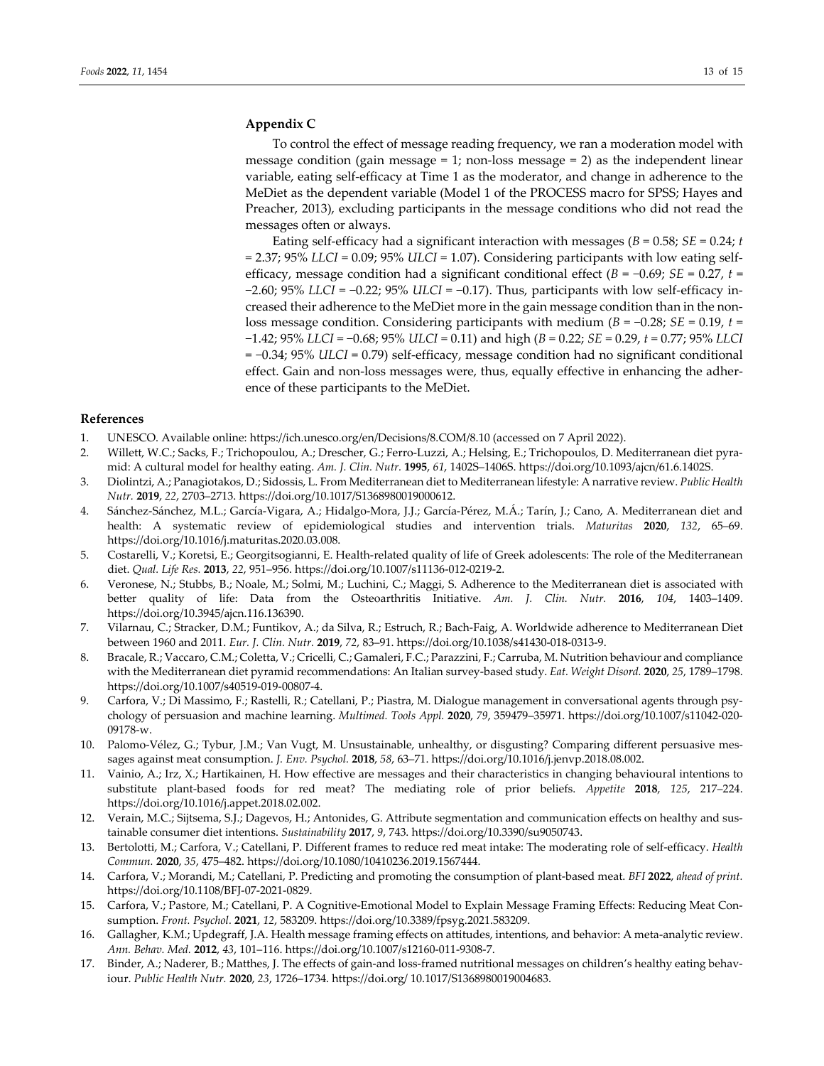# **Appendix C**

To control the effect of message reading frequency, we ran a moderation model with message condition (gain message = 1; non-loss message = 2) as the independent linear variable, eating self‐efficacy at Time 1 as the moderator, and change in adherence to the MeDiet as the dependent variable (Model 1 of the PROCESS macro for SPSS; Hayes and Preacher, 2013), excluding participants in the message conditions who did not read the messages often or always.

Eating self‐efficacy had a significant interaction with messages (*B* = 0.58; *SE* = 0.24; *t* = 2.37; 95% *LLCI* = 0.09; 95% *ULCI* = 1.07). Considering participants with low eating self‐ efficacy, message condition had a significant conditional effect ( $B = -0.69$ ; *SE* = 0.27, *t* = −2.60; 95% *LLCI* = −0.22; 95% *ULCI* = −0.17). Thus, participants with low self‐efficacy in‐ creased their adherence to the MeDiet more in the gain message condition than in the non‐ loss message condition. Considering participants with medium (*B* = −0.28; *SE* = 0.19, *t* = −1.42; 95% *LLCI* = −0.68; 95% *ULCI* = 0.11) and high (*B* = 0.22; *SE* = 0.29, *t* = 0.77; 95% *LLCI* = −0.34; 95% *ULCI* = 0.79) self‐efficacy, message condition had no significant conditional effect. Gain and non-loss messages were, thus, equally effective in enhancing the adherence of these participants to the MeDiet.

## **References**

- 1. UNESCO. Available online: https://ich.unesco.org/en/Decisions/8.COM/8.10 (accessed on 7 April 2022).
- 2. Willett, W.C.; Sacks, F.; Trichopoulou, A.; Drescher, G.; Ferro-Luzzi, A.; Helsing, E.; Trichopoulos, D. Mediterranean diet pyramid: A cultural model for healthy eating. *Am. J. Clin. Nutr.* **1995**, *61*, 1402S–1406S. https://doi.org/10.1093/ajcn/61.6.1402S.
- 3. Diolintzi, A.; Panagiotakos, D.; Sidossis, L. From Mediterranean diet to Mediterranean lifestyle: A narrative review. *Public Health Nutr.* **2019**, *22*, 2703–2713. https://doi.org/10.1017/S1368980019000612.
- 4. Sánchez‐Sánchez, M.L.; García‐Vigara, A.; Hidalgo‐Mora, J.J.; García‐Pérez, M.Á.; Tarín, J.; Cano, A. Mediterranean diet and health: A systematic review of epidemiological studies and intervention trials. *Maturitas* **2020**, *132*, 65–69. https://doi.org/10.1016/j.maturitas.2020.03.008.
- 5. Costarelli, V.; Koretsi, E.; Georgitsogianni, E. Health-related quality of life of Greek adolescents: The role of the Mediterranean diet. *Qual. Life Res.* **2013**, *22*, 951–956. https://doi.org/10.1007/s11136‐012‐0219‐2.
- 6. Veronese, N.; Stubbs, B.; Noale, M.; Solmi, M.; Luchini, C.; Maggi, S. Adherence to the Mediterranean diet is associated with better quality of life: Data from the Osteoarthritis Initiative. *Am. J. Clin. Nutr.* **2016**, *104*, 1403–1409. https://doi.org/10.3945/ajcn.116.136390.
- 7. Vilarnau, C.; Stracker, D.M.; Funtikov, A.; da Silva, R.; Estruch, R.; Bach‐Faig, A. Worldwide adherence to Mediterranean Diet between 1960 and 2011. *Eur. J. Clin. Nutr.* **2019**, *72*, 83–91. https://doi.org/10.1038/s41430‐018‐0313‐9.
- 8. Bracale, R.; Vaccaro, C.M.; Coletta, V.; Cricelli, C.; Gamaleri, F.C.; Parazzini, F.; Carruba, M. Nutrition behaviour and compliance with the Mediterranean diet pyramid recommendations: An Italian survey‐based study. *Eat. Weight Disord.* **2020**, *25*, 1789–1798. https://doi.org/10.1007/s40519‐019‐00807‐4.
- 9. Carfora, V.; Di Massimo, F.; Rastelli, R.; Catellani, P.; Piastra, M. Dialogue management in conversational agents through psychology of persuasion and machine learning. *Multimed. Tools Appl.* **2020**, *79*, 359479–35971. https://doi.org/10.1007/s11042‐020‐ 09178‐w.
- 10. Palomo-Vélez, G.; Tybur, J.M.; Van Vugt, M. Unsustainable, unhealthy, or disgusting? Comparing different persuasive messages against meat consumption. *J. Env. Psychol.* **2018**, *58*, 63–71. https://doi.org/10.1016/j.jenvp.2018.08.002.
- 11. Vainio, A.; Irz, X.; Hartikainen, H. How effective are messages and their characteristics in changing behavioural intentions to substitute plant‐based foods for red meat? The mediating role of prior beliefs. *Appetite* **2018**, *125*, 217–224. https://doi.org/10.1016/j.appet.2018.02.002.
- 12. Verain, M.C.; Sijtsema, S.J.; Dagevos, H.; Antonides, G. Attribute segmentation and communication effects on healthy and sus‐ tainable consumer diet intentions. *Sustainability* **2017**, *9*, 743. https://doi.org/10.3390/su9050743.
- 13. Bertolotti, M.; Carfora, V.; Catellani, P. Different frames to reduce red meat intake: The moderating role of self‐efficacy. *Health Commun.* **2020**, *35*, 475–482. https://doi.org/10.1080/10410236.2019.1567444.
- 14. Carfora, V.; Morandi, M.; Catellani, P. Predicting and promoting the consumption of plant‐based meat. *BFI* **2022**, *ahead of print.* https://doi.org/10.1108/BFJ‐07‐2021‐0829.
- 15. Carfora, V.; Pastore, M.; Catellani, P. A Cognitive-Emotional Model to Explain Message Framing Effects: Reducing Meat Consumption. *Front. Psychol.* **2021**, *12*, 583209. https://doi.org/10.3389/fpsyg.2021.583209.
- 16. Gallagher, K.M.; Updegraff, J.A. Health message framing effects on attitudes, intentions, and behavior: A meta-analytic review. *Ann. Behav. Med.* **2012**, *43*, 101–116. https://doi.org/10.1007/s12160‐011‐9308‐7.
- 17. Binder, A.; Naderer, B.; Matthes, J. The effects of gain-and loss-framed nutritional messages on children's healthy eating behaviour. *Public Health Nutr.* **2020**, *23*, 1726–1734. https://doi.org/ 10.1017/S1368980019004683.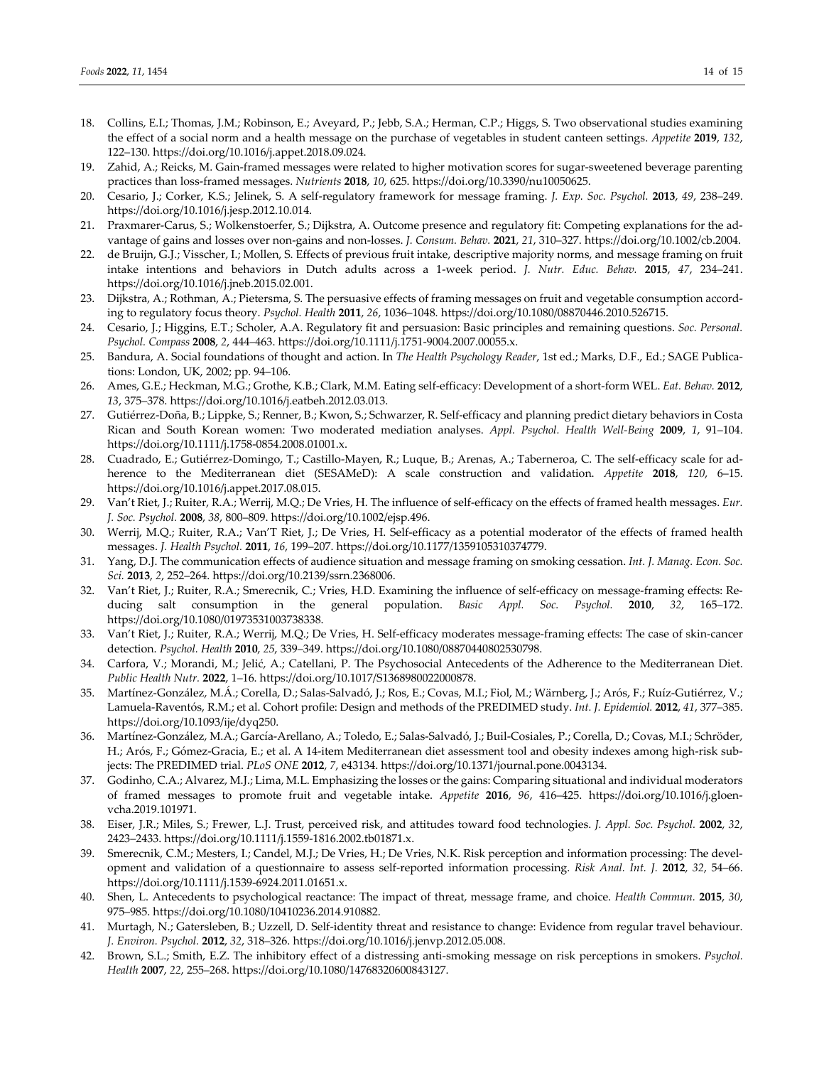- 18. Collins, E.I.; Thomas, J.M.; Robinson, E.; Aveyard, P.; Jebb, S.A.; Herman, C.P.; Higgs, S. Two observational studies examining the effect of a social norm and a health message on the purchase of vegetables in student canteen settings. *Appetite* **2019**, *132*, 122–130. https://doi.org/10.1016/j.appet.2018.09.024.
- 19. Zahid, A.; Reicks, M. Gain-framed messages were related to higher motivation scores for sugar-sweetened beverage parenting practices than loss‐framed messages. *Nutrients* **2018**, *10*, 625. https://doi.org/10.3390/nu10050625.
- 20. Cesario, J.; Corker, K.S.; Jelinek, S. A self‐regulatory framework for message framing. *J. Exp. Soc. Psychol.* **2013**, *49*, 238–249. https://doi.org/10.1016/j.jesp.2012.10.014.
- 21. Praxmarer-Carus, S.; Wolkenstoerfer, S.; Dijkstra, A. Outcome presence and regulatory fit: Competing explanations for the advantage of gains and losses over non‐gains and non‐losses. *J. Consum. Behav.* **2021**, *21*, 310–327. https://doi.org/10.1002/cb.2004.
- 22. de Bruijn, G.J.; Visscher, I.; Mollen, S. Effects of previous fruit intake, descriptive majority norms, and message framing on fruit intake intentions and behaviors in Dutch adults across a 1‐week period. *J. Nutr. Educ. Behav.* **2015**, *47*, 234–241. https://doi.org/10.1016/j.jneb.2015.02.001.
- 23. Dijkstra, A.; Rothman, A.; Pietersma, S. The persuasive effects of framing messages on fruit and vegetable consumption accord‐ ing to regulatory focus theory. *Psychol. Health* **2011**, *26*, 1036–1048. https://doi.org/10.1080/08870446.2010.526715.
- 24. Cesario, J.; Higgins, E.T.; Scholer, A.A. Regulatory fit and persuasion: Basic principles and remaining questions. *Soc. Personal. Psychol. Compass* **2008**, *2*, 444–463. https://doi.org/10.1111/j.1751‐9004.2007.00055.x.
- 25. Bandura, A. Social foundations of thought and action. In *The Health Psychology Reader*, 1st ed.; Marks, D.F., Ed.; SAGE Publica‐ tions: London, UK, 2002; pp. 94–106.
- 26. Ames, G.E.; Heckman, M.G.; Grothe, K.B.; Clark, M.M. Eating self‐efficacy: Development of a short‐form WEL. *Eat. Behav.* **2012**, *13*, 375–378. https://doi.org/10.1016/j.eatbeh.2012.03.013.
- 27. Gutiérrez‐Doña, B.; Lippke, S.; Renner, B.; Kwon, S.; Schwarzer, R. Self‐efficacy and planning predict dietary behaviors in Costa Rican and South Korean women: Two moderated mediation analyses. *Appl. Psychol. Health Well‐Being* **2009**, *1*, 91–104. https://doi.org/10.1111/j.1758‐0854.2008.01001.x.
- 28. Cuadrado, E.; Gutiérrez-Domingo, T.; Castillo-Mayen, R.; Luque, B.; Arenas, A.; Taberneroa, C. The self-efficacy scale for adherence to the Mediterranean diet (SESAMeD): A scale construction and validation. *Appetite* **2018**, *120*, 6–15. https://doi.org/10.1016/j.appet.2017.08.015.
- 29. Van't Riet, J.; Ruiter, R.A.; Werrij, M.Q.; De Vries, H. The influence of self‐efficacy on the effects of framed health messages. *Eur. J. Soc. Psychol.* **2008**, *38*, 800–809. https://doi.org/10.1002/ejsp.496.
- 30. Werrij, M.Q.; Ruiter, R.A.; Van'T Riet, J.; De Vries, H. Self‐efficacy as a potential moderator of the effects of framed health messages. *J. Health Psychol.* **2011**, *16*, 199–207. https://doi.org/10.1177/1359105310374779.
- 31. Yang, D.J. The communication effects of audience situation and message framing on smoking cessation. *Int. J. Manag. Econ. Soc. Sci.* **2013**, *2*, 252–264. https://doi.org/10.2139/ssrn.2368006.
- 32. Van't Riet, J.; Ruiter, R.A.; Smerecnik, C.; Vries, H.D. Examining the influence of self-efficacy on message-framing effects: Reducing salt consumption in the general population. *Basic Appl. Soc. Psychol.* **2010**, *32*, 165–172. https://doi.org/10.1080/01973531003738338.
- 33. Van't Riet, J.; Ruiter, R.A.; Werrij, M.Q.; De Vries, H. Self-efficacy moderates message-framing effects: The case of skin-cancer detection. *Psychol. Health* **2010**, *25*, 339–349. https://doi.org/10.1080/08870440802530798.
- 34. Carfora, V.; Morandi, M.; Jelić, A.; Catellani, P. The Psychosocial Antecedents of the Adherence to the Mediterranean Diet. *Public Health Nutr.* **2022**, 1–16. https://doi.org/10.1017/S1368980022000878.
- 35. Martínez‐González, M.Á.; Corella, D.; Salas‐Salvadó, J.; Ros, E.; Covas, M.I.; Fiol, M.; Wärnberg, J.; Arós, F.; Ruíz‐Gutiérrez, V.; Lamuela‐Raventós, R.M.; et al. Cohort profile: Design and methods of the PREDIMED study. *Int. J. Epidemiol.* **2012**, *41*, 377–385. https://doi.org/10.1093/ije/dyq250.
- 36. Martínez‐González, M.A.; García‐Arellano, A.; Toledo, E.; Salas‐Salvadó, J.; Buil‐Cosiales, P.; Corella, D.; Covas, M.I.; Schröder, H.; Arós, F.; Gómez-Gracia, E.; et al. A 14-item Mediterranean diet assessment tool and obesity indexes among high-risk subjects: The PREDIMED trial. *PLoS ONE* **2012**, *7*, e43134. https://doi.org/10.1371/journal.pone.0043134.
- 37. Godinho, C.A.; Alvarez, M.J.; Lima, M.L. Emphasizing the losses orthe gains: Comparing situational and individual moderators of framed messages to promote fruit and vegetable intake. *Appetite* **2016**, *96*, 416–425. https://doi.org/10.1016/j.gloen‐ vcha.2019.101971.
- 38. Eiser, J.R.; Miles, S.; Frewer, L.J. Trust, perceived risk, and attitudes toward food technologies. *J. Appl. Soc. Psychol.* **2002**, *32*, 2423–2433. https://doi.org/10.1111/j.1559‐1816.2002.tb01871.x.
- 39. Smerecnik, C.M.; Mesters, I.; Candel, M.J.; De Vries, H.; De Vries, N.K. Risk perception and information processing: The devel‐ opment and validation of a questionnaire to assess self‐reported information processing. *Risk Anal. Int. J.* **2012**, *32*, 54–66. https://doi.org/10.1111/j.1539‐6924.2011.01651.x.
- 40. Shen, L. Antecedents to psychological reactance: The impact of threat, message frame, and choice. *Health Commun.* **2015**, *30*, 975–985. https://doi.org/10.1080/10410236.2014.910882.
- 41. Murtagh, N.; Gatersleben, B.; Uzzell, D. Self-identity threat and resistance to change: Evidence from regular travel behaviour. *J. Environ. Psychol.* **2012**, *32*, 318–326. https://doi.org/10.1016/j.jenvp.2012.05.008.
- 42. Brown, S.L.; Smith, E.Z. The inhibitory effect of a distressing anti‐smoking message on risk perceptions in smokers. *Psychol. Health* **2007**, *22*, 255–268. https://doi.org/10.1080/14768320600843127.